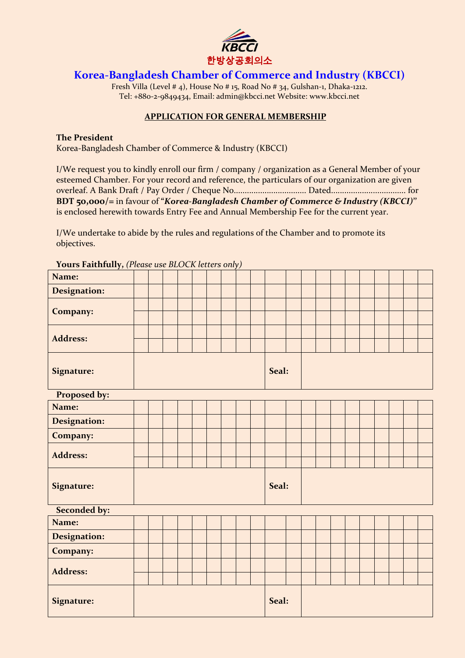

## **Korea-Bangladesh Chamber of Commerce and Industry (KBCCI)**

Fresh Villa (Level # 4), House No # 15, Road No # 34, Gulshan-1, Dhaka-1212. Tel: +880-2-9849434, Email: admin@kbcci.net Website: www.kbcci.net

## **APPLICATION FOR GENERAL MEMBERSHIP**

## **The President**

Korea-Bangladesh Chamber of Commerce & Industry (KBCCI)

I/We request you to kindly enroll our firm / company / organization as a General Member of your esteemed Chamber. For your record and reference, the particulars of our organization are given overleaf. A Bank Draft / Pay Order / Cheque No................................. Dated.................................. for **BDT 50,000/=** in favour of **"***Korea-Bangladesh Chamber of Commerce & Industry (KBCCI)***''** is enclosed herewith towards Entry Fee and Annual Membership Fee for the current year.

I/We undertake to abide by the rules and regulations of the Chamber and to promote its objectives.

| $\prime$            |  |  |  |  |  |  |       |       |  |  |  |  |  |  |  |  |  |  |  |
|---------------------|--|--|--|--|--|--|-------|-------|--|--|--|--|--|--|--|--|--|--|--|
| Name:               |  |  |  |  |  |  |       |       |  |  |  |  |  |  |  |  |  |  |  |
| <b>Designation:</b> |  |  |  |  |  |  |       |       |  |  |  |  |  |  |  |  |  |  |  |
|                     |  |  |  |  |  |  |       |       |  |  |  |  |  |  |  |  |  |  |  |
| Company:            |  |  |  |  |  |  |       |       |  |  |  |  |  |  |  |  |  |  |  |
|                     |  |  |  |  |  |  |       |       |  |  |  |  |  |  |  |  |  |  |  |
| <b>Address:</b>     |  |  |  |  |  |  |       |       |  |  |  |  |  |  |  |  |  |  |  |
|                     |  |  |  |  |  |  |       |       |  |  |  |  |  |  |  |  |  |  |  |
| <b>Signature:</b>   |  |  |  |  |  |  |       | Seal: |  |  |  |  |  |  |  |  |  |  |  |
|                     |  |  |  |  |  |  |       |       |  |  |  |  |  |  |  |  |  |  |  |
| Proposed by:        |  |  |  |  |  |  |       |       |  |  |  |  |  |  |  |  |  |  |  |
| Name:               |  |  |  |  |  |  |       |       |  |  |  |  |  |  |  |  |  |  |  |
| <b>Designation:</b> |  |  |  |  |  |  |       |       |  |  |  |  |  |  |  |  |  |  |  |
| Company:            |  |  |  |  |  |  |       |       |  |  |  |  |  |  |  |  |  |  |  |
|                     |  |  |  |  |  |  |       |       |  |  |  |  |  |  |  |  |  |  |  |
| <b>Address:</b>     |  |  |  |  |  |  |       |       |  |  |  |  |  |  |  |  |  |  |  |
|                     |  |  |  |  |  |  |       |       |  |  |  |  |  |  |  |  |  |  |  |
| <b>Signature:</b>   |  |  |  |  |  |  |       | Seal: |  |  |  |  |  |  |  |  |  |  |  |
|                     |  |  |  |  |  |  |       |       |  |  |  |  |  |  |  |  |  |  |  |
| <b>Seconded by:</b> |  |  |  |  |  |  |       |       |  |  |  |  |  |  |  |  |  |  |  |
| Name:               |  |  |  |  |  |  |       |       |  |  |  |  |  |  |  |  |  |  |  |
| <b>Designation:</b> |  |  |  |  |  |  |       |       |  |  |  |  |  |  |  |  |  |  |  |
| Company:            |  |  |  |  |  |  |       |       |  |  |  |  |  |  |  |  |  |  |  |
|                     |  |  |  |  |  |  |       |       |  |  |  |  |  |  |  |  |  |  |  |
| <b>Address:</b>     |  |  |  |  |  |  |       |       |  |  |  |  |  |  |  |  |  |  |  |
|                     |  |  |  |  |  |  |       |       |  |  |  |  |  |  |  |  |  |  |  |
| Signature:          |  |  |  |  |  |  | Seal: |       |  |  |  |  |  |  |  |  |  |  |  |
|                     |  |  |  |  |  |  |       |       |  |  |  |  |  |  |  |  |  |  |  |

**Yours Faithfully,** *(Please use BLOCK letters only)*